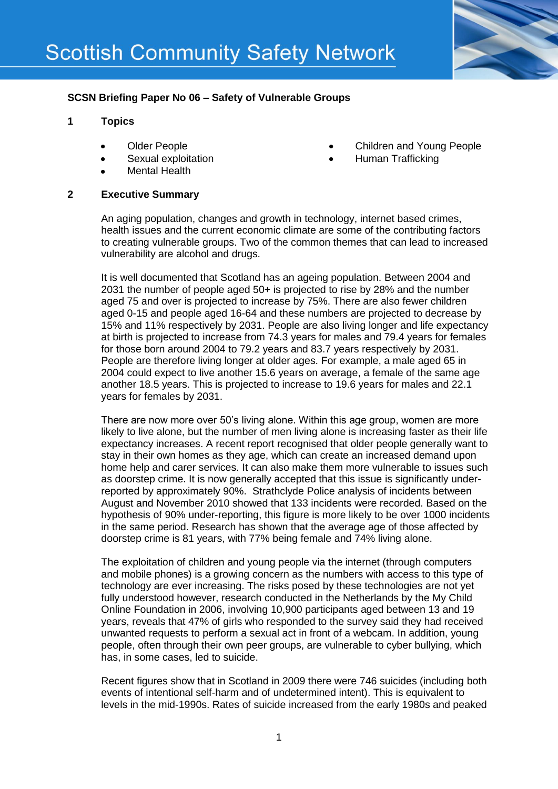

## **SCSN Briefing Paper No 06 – Safety of Vulnerable Groups**

## **1 Topics**

- Older People
- Sexual exploitation
- Mental Health

# Children and Young People

Human Trafficking

#### **2 Executive Summary**

An aging population, changes and growth in technology, internet based crimes, health issues and the current economic climate are some of the contributing factors to creating vulnerable groups. Two of the common themes that can lead to increased vulnerability are alcohol and drugs.

It is well documented that Scotland has an ageing population. Between 2004 and 2031 the number of people aged 50+ is projected to rise by 28% and the number aged 75 and over is projected to increase by 75%. There are also fewer children aged 0-15 and people aged 16-64 and these numbers are projected to decrease by 15% and 11% respectively by 2031. People are also living longer and life expectancy at birth is projected to increase from 74.3 years for males and 79.4 years for females for those born around 2004 to 79.2 years and 83.7 years respectively by 2031. People are therefore living longer at older ages. For example, a male aged 65 in 2004 could expect to live another 15.6 years on average, a female of the same age another 18.5 years. This is projected to increase to 19.6 years for males and 22.1 years for females by 2031.

There are now more over 50's living alone. Within this age group, women are more likely to live alone, but the number of men living alone is increasing faster as their life expectancy increases. A recent report recognised that older people generally want to stay in their own homes as they age, which can create an increased demand upon home help and carer services. It can also make them more vulnerable to issues such as doorstep crime. It is now generally accepted that this issue is significantly underreported by approximately 90%. Strathclyde Police analysis of incidents between August and November 2010 showed that 133 incidents were recorded. Based on the hypothesis of 90% under-reporting, this figure is more likely to be over 1000 incidents in the same period. Research has shown that the average age of those affected by doorstep crime is 81 years, with 77% being female and 74% living alone.

The exploitation of children and young people via the internet (through computers and mobile phones) is a growing concern as the numbers with access to this type of technology are ever increasing. The risks posed by these technologies are not yet fully understood however, research conducted in the Netherlands by the My Child Online Foundation in 2006, involving 10,900 participants aged between 13 and 19 years, reveals that 47% of girls who responded to the survey said they had received unwanted requests to perform a sexual act in front of a webcam. In addition, young people, often through their own peer groups, are vulnerable to cyber bullying, which has, in some cases, led to suicide.

Recent figures show that in Scotland in 2009 there were 746 suicides (including both events of intentional self-harm and of undetermined intent). This is equivalent to levels in the mid-1990s. Rates of suicide increased from the early 1980s and peaked